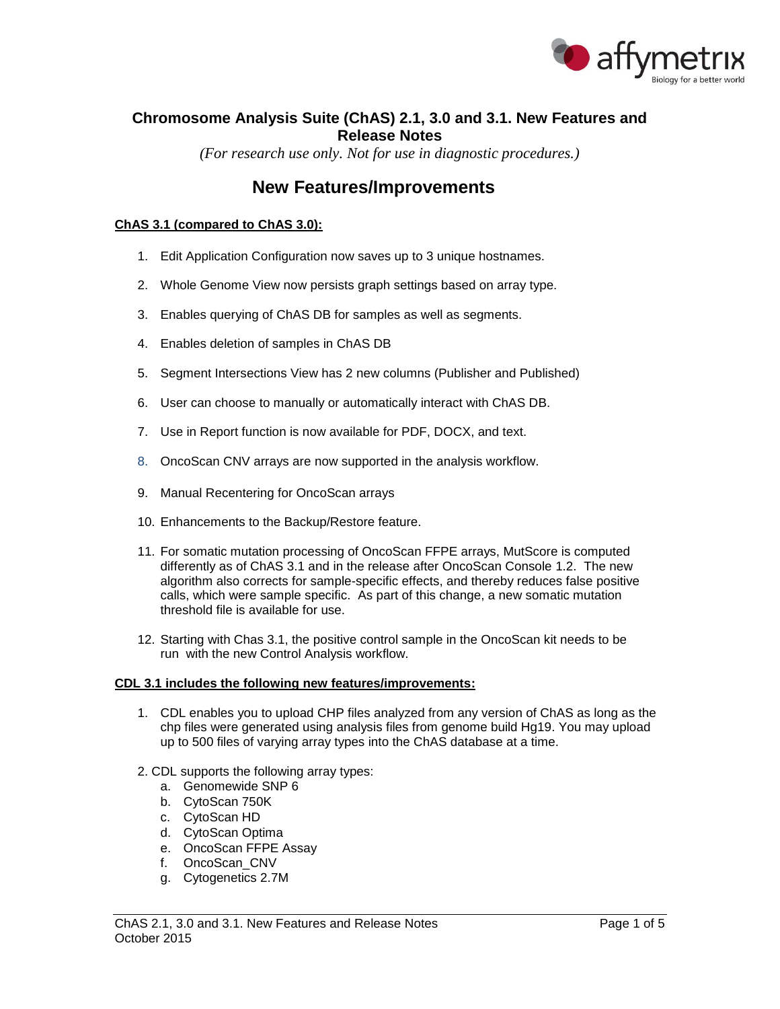

# **Chromosome Analysis Suite (ChAS) 2.1, 3.0 and 3.1. New Features and Release Notes**

*(For research use only. Not for use in diagnostic procedures.)*

# **New Features/Improvements**

## **ChAS 3.1 (compared to ChAS 3.0):**

- 1. Edit Application Configuration now saves up to 3 unique hostnames.
- 2. Whole Genome View now persists graph settings based on array type.
- 3. Enables querying of ChAS DB for samples as well as segments.
- 4. Enables deletion of samples in ChAS DB
- 5. Segment Intersections View has 2 new columns (Publisher and Published)
- 6. User can choose to manually or automatically interact with ChAS DB.
- 7. Use in Report function is now available for PDF, DOCX, and text.
- 8. OncoScan CNV arrays are now supported in the analysis workflow.
- 9. Manual Recentering for OncoScan arrays
- 10. Enhancements to the Backup/Restore feature.
- 11. For somatic mutation processing of OncoScan FFPE arrays, MutScore is computed differently as of ChAS 3.1 and in the release after OncoScan Console 1.2. The new algorithm also corrects for sample-specific effects, and thereby reduces false positive calls, which were sample specific. As part of this change, a new somatic mutation threshold file is available for use.
- 12. Starting with Chas 3.1, the positive control sample in the OncoScan kit needs to be run with the new Control Analysis workflow.

#### **CDL 3.1 includes the following new features/improvements:**

- 1. CDL enables you to upload CHP files analyzed from any version of ChAS as long as the chp files were generated using analysis files from genome build Hg19. You may upload up to 500 files of varying array types into the ChAS database at a time.
- 2. CDL supports the following array types:
	- a. Genomewide SNP 6
	- b. CytoScan 750K
	- c. CytoScan HD
	- d. CytoScan Optima
	- e. OncoScan FFPE Assay
	- f. OncoScan\_CNV
	- g. Cytogenetics 2.7M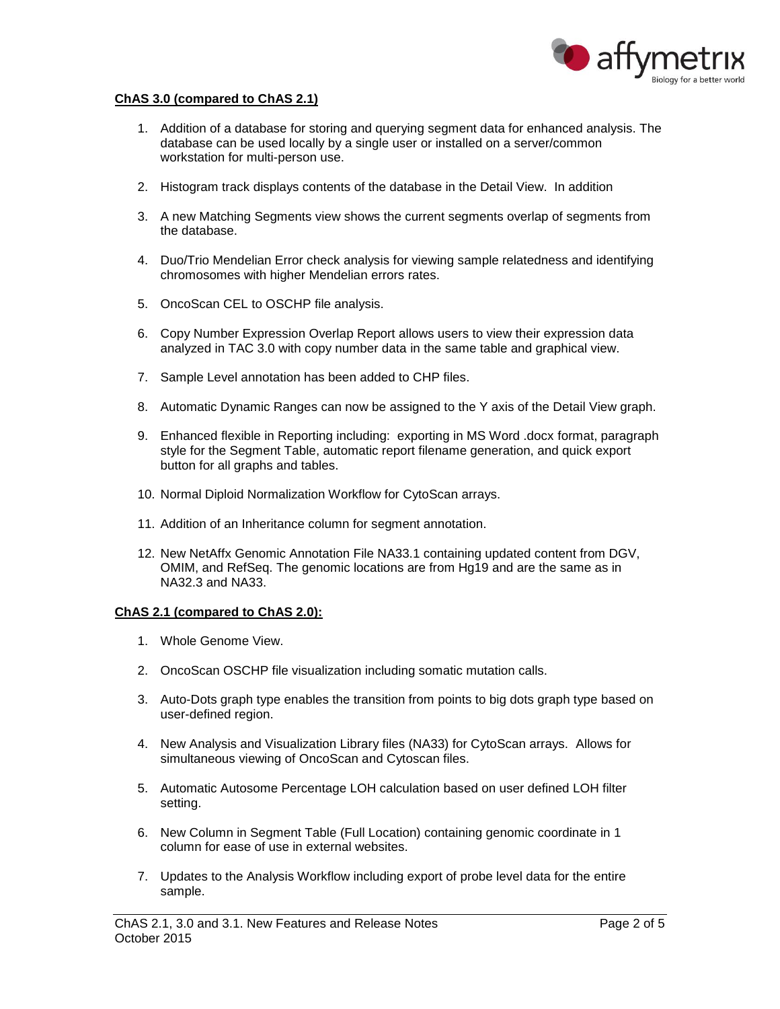

### **ChAS 3.0 (compared to ChAS 2.1)**

- 1. Addition of a database for storing and querying segment data for enhanced analysis. The database can be used locally by a single user or installed on a server/common workstation for multi-person use.
- 2. Histogram track displays contents of the database in the Detail View. In addition
- 3. A new Matching Segments view shows the current segments overlap of segments from the database.
- 4. Duo/Trio Mendelian Error check analysis for viewing sample relatedness and identifying chromosomes with higher Mendelian errors rates.
- 5. OncoScan CEL to OSCHP file analysis.
- 6. Copy Number Expression Overlap Report allows users to view their expression data analyzed in TAC 3.0 with copy number data in the same table and graphical view.
- 7. Sample Level annotation has been added to CHP files.
- 8. Automatic Dynamic Ranges can now be assigned to the Y axis of the Detail View graph.
- 9. Enhanced flexible in Reporting including: exporting in MS Word .docx format, paragraph style for the Segment Table, automatic report filename generation, and quick export button for all graphs and tables.
- 10. Normal Diploid Normalization Workflow for CytoScan arrays.
- 11. Addition of an Inheritance column for segment annotation.
- 12. New NetAffx Genomic Annotation File NA33.1 containing updated content from DGV, OMIM, and RefSeq. The genomic locations are from Hg19 and are the same as in NA32.3 and NA33.

### **ChAS 2.1 (compared to ChAS 2.0):**

- 1. Whole Genome View.
- 2. OncoScan OSCHP file visualization including somatic mutation calls.
- 3. Auto-Dots graph type enables the transition from points to big dots graph type based on user-defined region.
- 4. New Analysis and Visualization Library files (NA33) for CytoScan arrays. Allows for simultaneous viewing of OncoScan and Cytoscan files.
- 5. Automatic Autosome Percentage LOH calculation based on user defined LOH filter setting.
- 6. New Column in Segment Table (Full Location) containing genomic coordinate in 1 column for ease of use in external websites.
- 7. Updates to the Analysis Workflow including export of probe level data for the entire sample.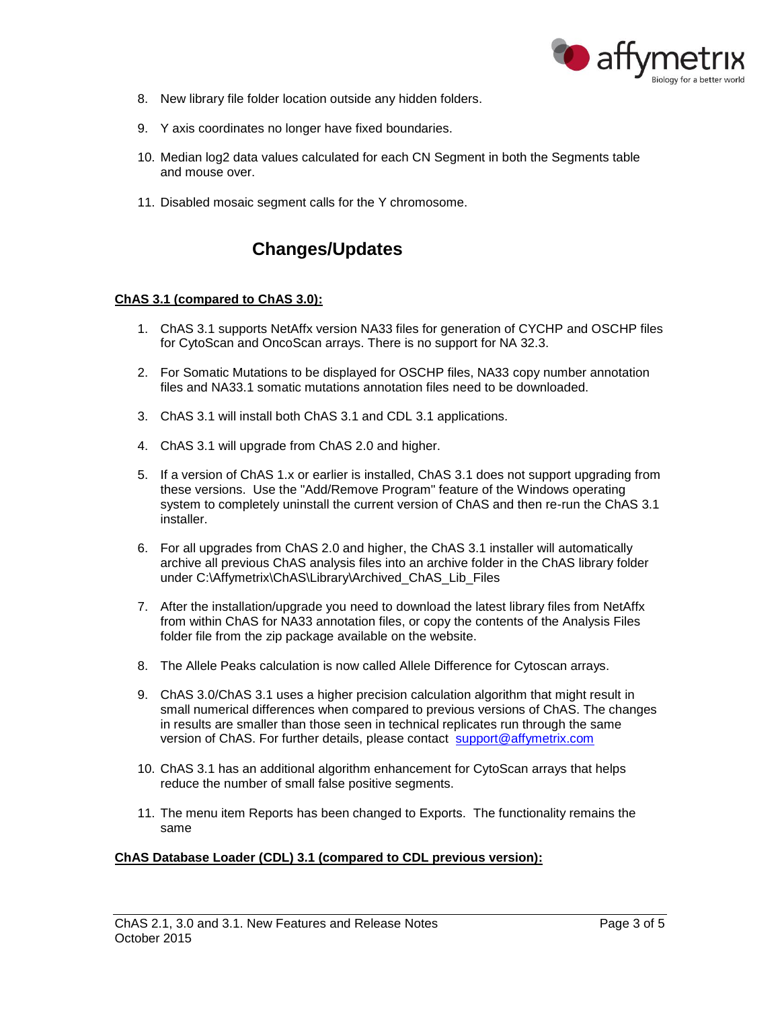

- 8. New library file folder location outside any hidden folders.
- 9. Y axis coordinates no longer have fixed boundaries.
- 10. Median log2 data values calculated for each CN Segment in both the Segments table and mouse over.
- 11. Disabled mosaic segment calls for the Y chromosome.

# **Changes/Updates**

### **ChAS 3.1 (compared to ChAS 3.0):**

- 1. ChAS 3.1 supports NetAffx version NA33 files for generation of CYCHP and OSCHP files for CytoScan and OncoScan arrays. There is no support for NA 32.3.
- 2. For Somatic Mutations to be displayed for OSCHP files, NA33 copy number annotation files and NA33.1 somatic mutations annotation files need to be downloaded.
- 3. ChAS 3.1 will install both ChAS 3.1 and CDL 3.1 applications.
- 4. ChAS 3.1 will upgrade from ChAS 2.0 and higher.
- 5. If a version of ChAS 1.x or earlier is installed, ChAS 3.1 does not support upgrading from these versions. Use the "Add/Remove Program" feature of the Windows operating system to completely uninstall the current version of ChAS and then re-run the ChAS 3.1 installer.
- 6. For all upgrades from ChAS 2.0 and higher, the ChAS 3.1 installer will automatically archive all previous ChAS analysis files into an archive folder in the ChAS library folder under C:\Affymetrix\ChAS\Library\Archived\_ChAS\_Lib\_Files
- 7. After the installation/upgrade you need to download the latest library files from NetAffx from within ChAS for NA33 annotation files, or copy the contents of the Analysis Files folder file from the zip package available on the website.
- 8. The Allele Peaks calculation is now called Allele Difference for Cytoscan arrays.
- 9. ChAS 3.0/ChAS 3.1 uses a higher precision calculation algorithm that might result in small numerical differences when compared to previous versions of ChAS. The changes in results are smaller than those seen in technical replicates run through the same version of ChAS. For further details, please contact [support@affymetrix.com](mailto:support@affymetrix.com)
- 10. ChAS 3.1 has an additional algorithm enhancement for CytoScan arrays that helps reduce the number of small false positive segments.
- 11. The menu item Reports has been changed to Exports. The functionality remains the same

#### **ChAS Database Loader (CDL) 3.1 (compared to CDL previous version):**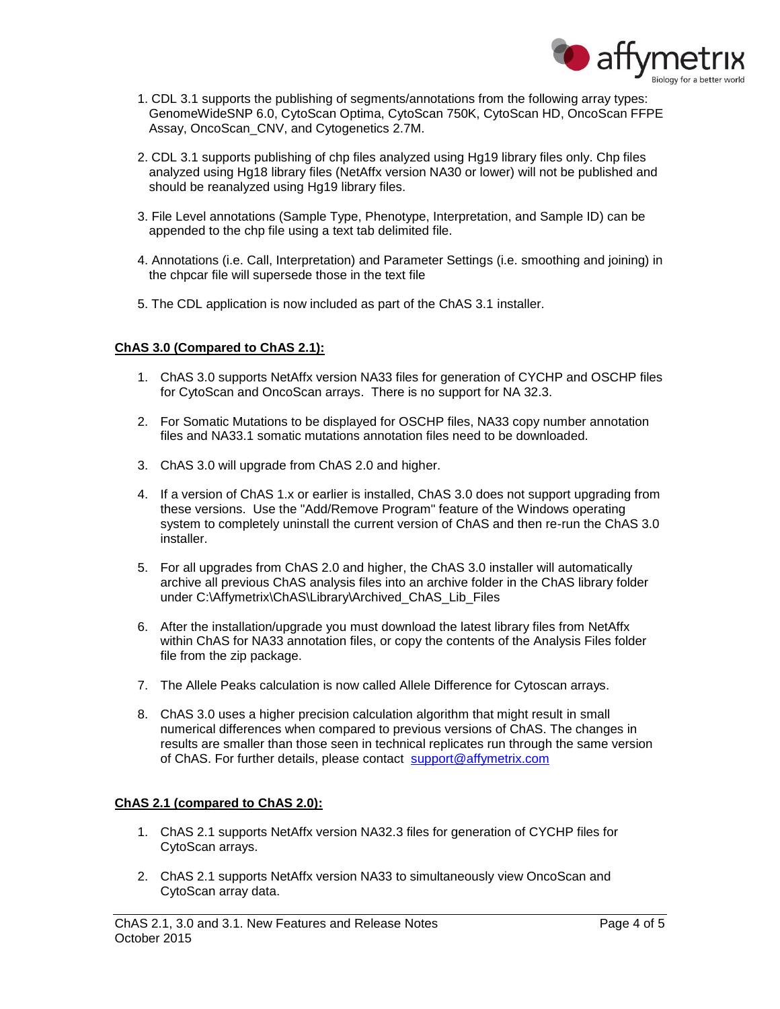

- 1. CDL 3.1 supports the publishing of segments/annotations from the following array types: GenomeWideSNP 6.0, CytoScan Optima, CytoScan 750K, CytoScan HD, OncoScan FFPE Assay, OncoScan\_CNV, and Cytogenetics 2.7M.
- 2. CDL 3.1 supports publishing of chp files analyzed using Hg19 library files only. Chp files analyzed using Hg18 library files (NetAffx version NA30 or lower) will not be published and should be reanalyzed using Hg19 library files.
- 3. File Level annotations (Sample Type, Phenotype, Interpretation, and Sample ID) can be appended to the chp file using a text tab delimited file.
- 4. Annotations (i.e. Call, Interpretation) and Parameter Settings (i.e. smoothing and joining) in the chpcar file will supersede those in the text file
- 5. The CDL application is now included as part of the ChAS 3.1 installer.

### **ChAS 3.0 (Compared to ChAS 2.1):**

- 1. ChAS 3.0 supports NetAffx version NA33 files for generation of CYCHP and OSCHP files for CytoScan and OncoScan arrays. There is no support for NA 32.3.
- 2. For Somatic Mutations to be displayed for OSCHP files, NA33 copy number annotation files and NA33.1 somatic mutations annotation files need to be downloaded.
- 3. ChAS 3.0 will upgrade from ChAS 2.0 and higher.
- 4. If a version of ChAS 1.x or earlier is installed, ChAS 3.0 does not support upgrading from these versions. Use the "Add/Remove Program" feature of the Windows operating system to completely uninstall the current version of ChAS and then re-run the ChAS 3.0 installer.
- 5. For all upgrades from ChAS 2.0 and higher, the ChAS 3.0 installer will automatically archive all previous ChAS analysis files into an archive folder in the ChAS library folder under C:\Affymetrix\ChAS\Library\Archived\_ChAS\_Lib\_Files
- 6. After the installation/upgrade you must download the latest library files from NetAffx within ChAS for NA33 annotation files, or copy the contents of the Analysis Files folder file from the zip package.
- 7. The Allele Peaks calculation is now called Allele Difference for Cytoscan arrays.
- 8. ChAS 3.0 uses a higher precision calculation algorithm that might result in small numerical differences when compared to previous versions of ChAS. The changes in results are smaller than those seen in technical replicates run through the same version of ChAS. For further details, please contact [support@affymetrix.com](mailto:support@affymetrix.com)

### **ChAS 2.1 (compared to ChAS 2.0):**

- 1. ChAS 2.1 supports NetAffx version NA32.3 files for generation of CYCHP files for CytoScan arrays.
- 2. ChAS 2.1 supports NetAffx version NA33 to simultaneously view OncoScan and CytoScan array data.